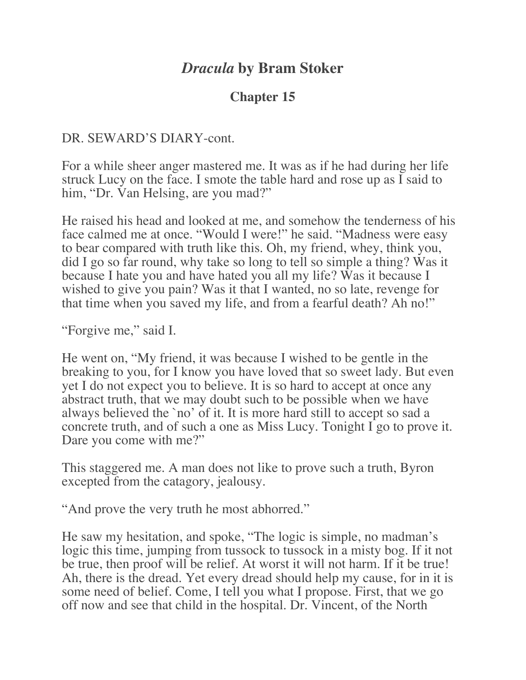# *Dracula* **by Bram Stoker**

## **Chapter 15**

DR. SEWARD'S DIARY-cont.

For a while sheer anger mastered me. It was as if he had during her life struck Lucy on the face. I smote the table hard and rose up as I said to him, "Dr. Van Helsing, are you mad?"

He raised his head and looked at me, and somehow the tenderness of his face calmed me at once. "Would I were!" he said. "Madness were easy to bear compared with truth like this. Oh, my friend, whey, think you, did I go so far round, why take so long to tell so simple a thing? Was it because I hate you and have hated you all my life? Was it because I wished to give you pain? Was it that I wanted, no so late, revenge for that time when you saved my life, and from a fearful death? Ah no!"

"Forgive me," said I.

He went on, "My friend, it was because I wished to be gentle in the breaking to you, for I know you have loved that so sweet lady. But even yet I do not expect you to believe. It is so hard to accept at once any abstract truth, that we may doubt such to be possible when we have always believed the `no' of it. It is more hard still to accept so sad a concrete truth, and of such a one as Miss Lucy. Tonight I go to prove it. Dare you come with me?"

This staggered me. A man does not like to prove such a truth, Byron excepted from the catagory, jealousy.

"And prove the very truth he most abhorred."

He saw my hesitation, and spoke, "The logic is simple, no madman's logic this time, jumping from tussock to tussock in a misty bog. If it not be true, then proof will be relief. At worst it will not harm. If it be true! Ah, there is the dread. Yet every dread should help my cause, for in it is some need of belief. Come, I tell you what I propose. First, that we go off now and see that child in the hospital. Dr. Vincent, of the North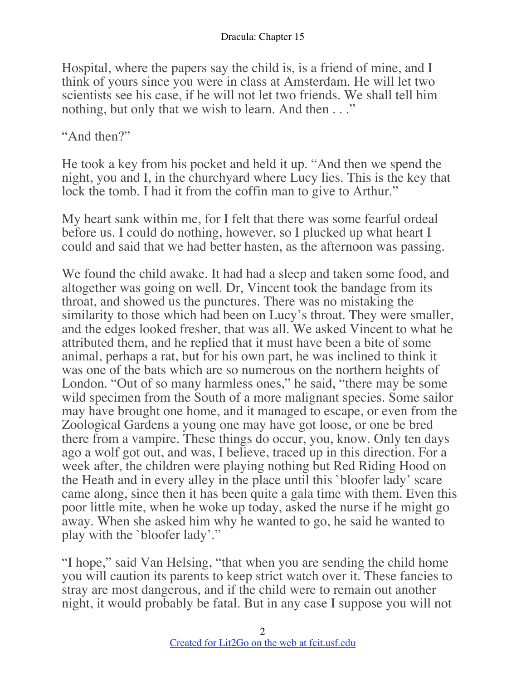Hospital, where the papers say the child is, is a friend of mine, and I think of yours since you were in class at Amsterdam. He will let two scientists see his case, if he will not let two friends. We shall tell him nothing, but only that we wish to learn. And then . . ."

"And then?"

He took a key from his pocket and held it up. "And then we spend the night, you and I, in the churchyard where Lucy lies. This is the key that lock the tomb. I had it from the coffin man to give to Arthur."

My heart sank within me, for I felt that there was some fearful ordeal before us. I could do nothing, however, so I plucked up what heart I could and said that we had better hasten, as the afternoon was passing.

We found the child awake. It had had a sleep and taken some food, and altogether was going on well. Dr, Vincent took the bandage from its throat, and showed us the punctures. There was no mistaking the similarity to those which had been on Lucy's throat. They were smaller, and the edges looked fresher, that was all. We asked Vincent to what he attributed them, and he replied that it must have been a bite of some animal, perhaps a rat, but for his own part, he was inclined to think it was one of the bats which are so numerous on the northern heights of London. "Out of so many harmless ones," he said, "there may be some wild specimen from the South of a more malignant species. Some sailor may have brought one home, and it managed to escape, or even from the Zoological Gardens a young one may have got loose, or one be bred there from a vampire. These things do occur, you, know. Only ten days ago a wolf got out, and was, I believe, traced up in this direction. For a week after, the children were playing nothing but Red Riding Hood on the Heath and in every alley in the place until this `bloofer lady' scare came along, since then it has been quite a gala time with them. Even this poor little mite, when he woke up today, asked the nurse if he might go away. When she asked him why he wanted to go, he said he wanted to play with the `bloofer lady'."

"I hope," said Van Helsing, "that when you are sending the child home you will caution its parents to keep strict watch over it. These fancies to stray are most dangerous, and if the child were to remain out another night, it would probably be fatal. But in any case I suppose you will not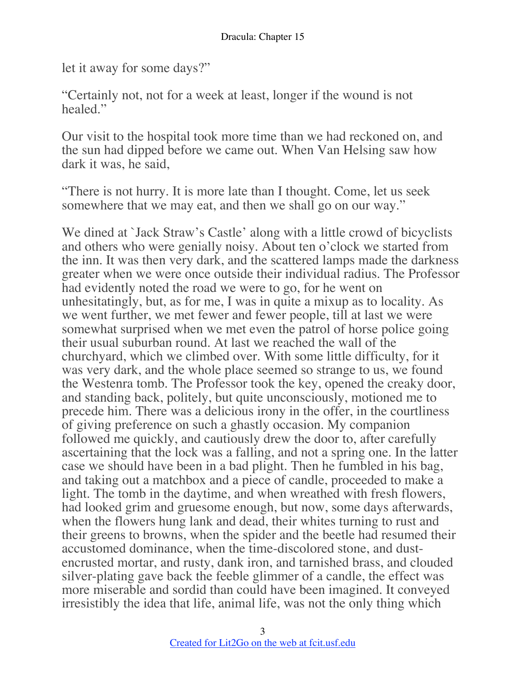let it away for some days?"

"Certainly not, not for a week at least, longer if the wound is not healed."

Our visit to the hospital took more time than we had reckoned on, and the sun had dipped before we came out. When Van Helsing saw how dark it was, he said,

"There is not hurry. It is more late than I thought. Come, let us seek somewhere that we may eat, and then we shall go on our way."

We dined at `Jack Straw's Castle' along with a little crowd of bicyclists and others who were genially noisy. About ten o'clock we started from the inn. It was then very dark, and the scattered lamps made the darkness greater when we were once outside their individual radius. The Professor had evidently noted the road we were to go, for he went on unhesitatingly, but, as for me, I was in quite a mixup as to locality. As we went further, we met fewer and fewer people, till at last we were somewhat surprised when we met even the patrol of horse police going their usual suburban round. At last we reached the wall of the churchyard, which we climbed over. With some little difficulty, for it was very dark, and the whole place seemed so strange to us, we found the Westenra tomb. The Professor took the key, opened the creaky door, and standing back, politely, but quite unconsciously, motioned me to precede him. There was a delicious irony in the offer, in the courtliness of giving preference on such a ghastly occasion. My companion followed me quickly, and cautiously drew the door to, after carefully ascertaining that the lock was a falling, and not a spring one. In the latter case we should have been in a bad plight. Then he fumbled in his bag, and taking out a matchbox and a piece of candle, proceeded to make a light. The tomb in the daytime, and when wreathed with fresh flowers, had looked grim and gruesome enough, but now, some days afterwards, when the flowers hung lank and dead, their whites turning to rust and their greens to browns, when the spider and the beetle had resumed their accustomed dominance, when the time-discolored stone, and dustencrusted mortar, and rusty, dank iron, and tarnished brass, and clouded silver-plating gave back the feeble glimmer of a candle, the effect was more miserable and sordid than could have been imagined. It conveyed irresistibly the idea that life, animal life, was not the only thing which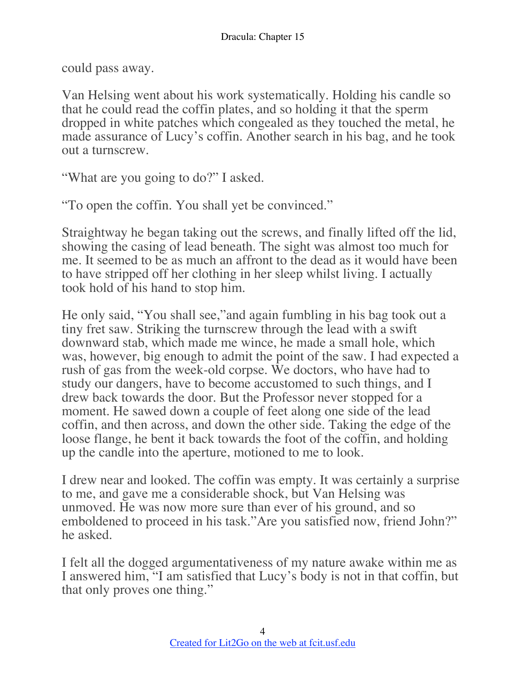could pass away.

Van Helsing went about his work systematically. Holding his candle so that he could read the coffin plates, and so holding it that the sperm dropped in white patches which congealed as they touched the metal, he made assurance of Lucy's coffin. Another search in his bag, and he took out a turnscrew.

"What are you going to do?" I asked.

"To open the coffin. You shall yet be convinced."

Straightway he began taking out the screws, and finally lifted off the lid, showing the casing of lead beneath. The sight was almost too much for me. It seemed to be as much an affront to the dead as it would have been to have stripped off her clothing in her sleep whilst living. I actually took hold of his hand to stop him.

He only said, "You shall see,"and again fumbling in his bag took out a tiny fret saw. Striking the turnscrew through the lead with a swift downward stab, which made me wince, he made a small hole, which was, however, big enough to admit the point of the saw. I had expected a rush of gas from the week-old corpse. We doctors, who have had to study our dangers, have to become accustomed to such things, and I drew back towards the door. But the Professor never stopped for a moment. He sawed down a couple of feet along one side of the lead coffin, and then across, and down the other side. Taking the edge of the loose flange, he bent it back towards the foot of the coffin, and holding up the candle into the aperture, motioned to me to look.

I drew near and looked. The coffin was empty. It was certainly a surprise to me, and gave me a considerable shock, but Van Helsing was unmoved. He was now more sure than ever of his ground, and so emboldened to proceed in his task."Are you satisfied now, friend John?" he asked.

I felt all the dogged argumentativeness of my nature awake within me as I answered him, "I am satisfied that Lucy's body is not in that coffin, but that only proves one thing."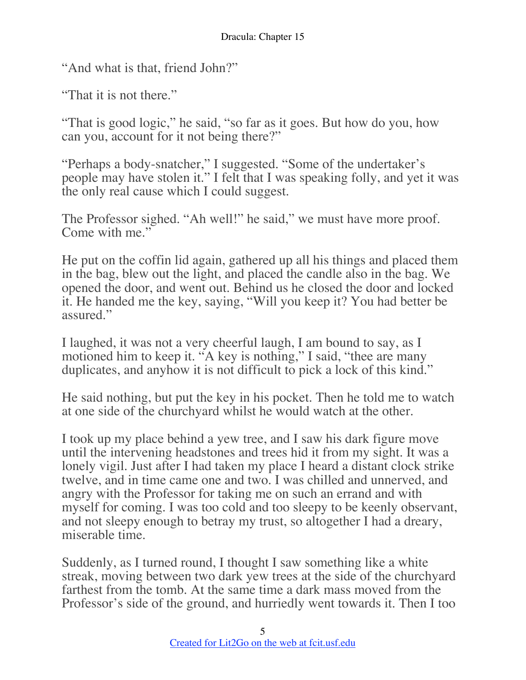"And what is that, friend John?"

"That it is not there."

"That is good logic," he said, "so far as it goes. But how do you, how can you, account for it not being there?"

"Perhaps a body-snatcher," I suggested. "Some of the undertaker's people may have stolen it." I felt that I was speaking folly, and yet it was the only real cause which I could suggest.

The Professor sighed. "Ah well!" he said," we must have more proof. Come with me."

He put on the coffin lid again, gathered up all his things and placed them in the bag, blew out the light, and placed the candle also in the bag. We opened the door, and went out. Behind us he closed the door and locked it. He handed me the key, saying, "Will you keep it? You had better be assured."

I laughed, it was not a very cheerful laugh, I am bound to say, as I motioned him to keep it. "A key is nothing," I said, "thee are many duplicates, and anyhow it is not difficult to pick a lock of this kind."

He said nothing, but put the key in his pocket. Then he told me to watch at one side of the churchyard whilst he would watch at the other.

I took up my place behind a yew tree, and I saw his dark figure move until the intervening headstones and trees hid it from my sight. It was a lonely vigil. Just after I had taken my place I heard a distant clock strike twelve, and in time came one and two. I was chilled and unnerved, and angry with the Professor for taking me on such an errand and with myself for coming. I was too cold and too sleepy to be keenly observant, and not sleepy enough to betray my trust, so altogether I had a dreary, miserable time.

Suddenly, as I turned round, I thought I saw something like a white streak, moving between two dark yew trees at the side of the churchyard farthest from the tomb. At the same time a dark mass moved from the Professor's side of the ground, and hurriedly went towards it. Then I too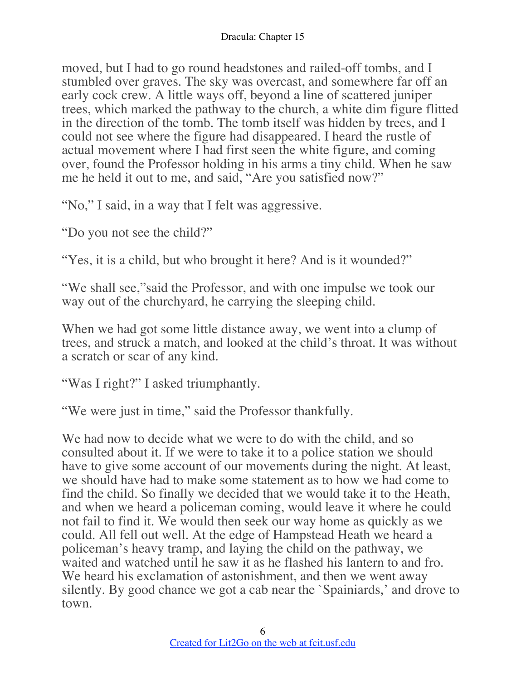moved, but I had to go round headstones and railed-off tombs, and I stumbled over graves. The sky was overcast, and somewhere far off an early cock crew. A little ways off, beyond a line of scattered juniper trees, which marked the pathway to the church, a white dim figure flitted in the direction of the tomb. The tomb itself was hidden by trees, and I could not see where the figure had disappeared. I heard the rustle of actual movement where I had first seen the white figure, and coming over, found the Professor holding in his arms a tiny child. When he saw me he held it out to me, and said, "Are you satisfied now?"

"No," I said, in a way that I felt was aggressive.

"Do you not see the child?"

"Yes, it is a child, but who brought it here? And is it wounded?"

"We shall see,"said the Professor, and with one impulse we took our way out of the churchyard, he carrying the sleeping child.

When we had got some little distance away, we went into a clump of trees, and struck a match, and looked at the child's throat. It was without a scratch or scar of any kind.

"Was I right?" I asked triumphantly.

"We were just in time," said the Professor thankfully.

We had now to decide what we were to do with the child, and so consulted about it. If we were to take it to a police station we should have to give some account of our movements during the night. At least, we should have had to make some statement as to how we had come to find the child. So finally we decided that we would take it to the Heath, and when we heard a policeman coming, would leave it where he could not fail to find it. We would then seek our way home as quickly as we could. All fell out well. At the edge of Hampstead Heath we heard a policeman's heavy tramp, and laying the child on the pathway, we waited and watched until he saw it as he flashed his lantern to and fro. We heard his exclamation of astonishment, and then we went away silently. By good chance we got a cab near the `Spainiards,' and drove to town.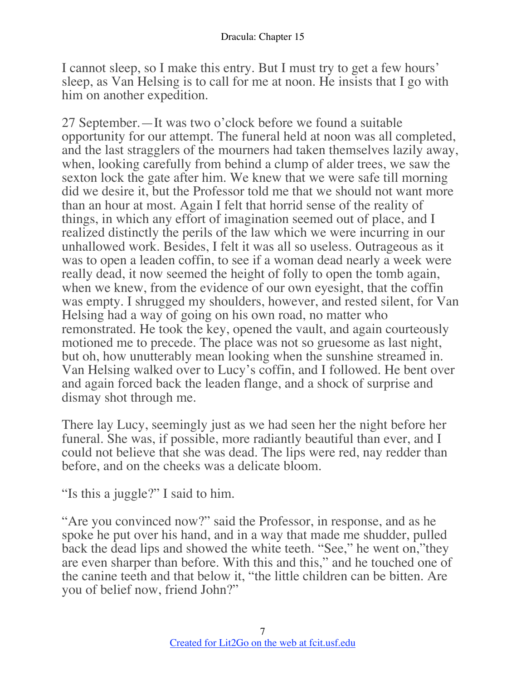I cannot sleep, so I make this entry. But I must try to get a few hours' sleep, as Van Helsing is to call for me at noon. He insists that I go with him on another expedition.

27 September.—It was two o'clock before we found a suitable opportunity for our attempt. The funeral held at noon was all completed, and the last stragglers of the mourners had taken themselves lazily away, when, looking carefully from behind a clump of alder trees, we saw the sexton lock the gate after him. We knew that we were safe till morning did we desire it, but the Professor told me that we should not want more than an hour at most. Again I felt that horrid sense of the reality of things, in which any effort of imagination seemed out of place, and I realized distinctly the perils of the law which we were incurring in our unhallowed work. Besides, I felt it was all so useless. Outrageous as it was to open a leaden coffin, to see if a woman dead nearly a week were really dead, it now seemed the height of folly to open the tomb again, when we knew, from the evidence of our own eyesight, that the coffin was empty. I shrugged my shoulders, however, and rested silent, for Van Helsing had a way of going on his own road, no matter who remonstrated. He took the key, opened the vault, and again courteously motioned me to precede. The place was not so gruesome as last night, but oh, how unutterably mean looking when the sunshine streamed in. Van Helsing walked over to Lucy's coffin, and I followed. He bent over and again forced back the leaden flange, and a shock of surprise and dismay shot through me.

There lay Lucy, seemingly just as we had seen her the night before her funeral. She was, if possible, more radiantly beautiful than ever, and I could not believe that she was dead. The lips were red, nay redder than before, and on the cheeks was a delicate bloom.

"Is this a juggle?" I said to him.

"Are you convinced now?" said the Professor, in response, and as he spoke he put over his hand, and in a way that made me shudder, pulled back the dead lips and showed the white teeth. "See," he went on,"they are even sharper than before. With this and this," and he touched one of the canine teeth and that below it, "the little children can be bitten. Are you of belief now, friend John?"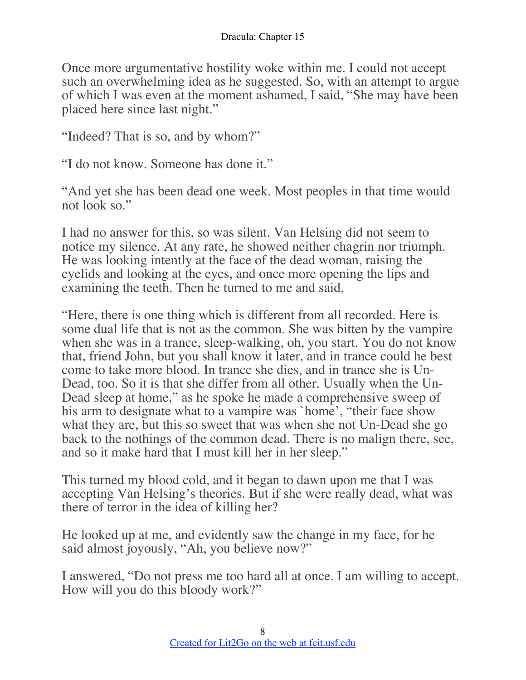Once more argumentative hostility woke within me. I could not accept such an overwhelming idea as he suggested. So, with an attempt to argue of which I was even at the moment ashamed, I said, "She may have been placed here since last night."

"Indeed? That is so, and by whom?"

"I do not know. Someone has done it."

"And yet she has been dead one week. Most peoples in that time would not look so."

I had no answer for this, so was silent. Van Helsing did not seem to notice my silence. At any rate, he showed neither chagrin nor triumph. He was looking intently at the face of the dead woman, raising the eyelids and looking at the eyes, and once more opening the lips and examining the teeth. Then he turned to me and said,

"Here, there is one thing which is different from all recorded. Here is some dual life that is not as the common. She was bitten by the vampire when she was in a trance, sleep-walking, oh, you start. You do not know that, friend John, but you shall know it later, and in trance could he best come to take more blood. In trance she dies, and in trance she is Un-Dead, too. So it is that she differ from all other. Usually when the Un-Dead sleep at home," as he spoke he made a comprehensive sweep of his arm to designate what to a vampire was `home', "their face show what they are, but this so sweet that was when she not Un-Dead she go back to the nothings of the common dead. There is no malign there, see, and so it make hard that I must kill her in her sleep."

This turned my blood cold, and it began to dawn upon me that I was accepting Van Helsing's theories. But if she were really dead, what was there of terror in the idea of killing her?

He looked up at me, and evidently saw the change in my face, for he said almost joyously, "Ah, you believe now?"

I answered, "Do not press me too hard all at once. I am willing to accept. How will you do this bloody work?"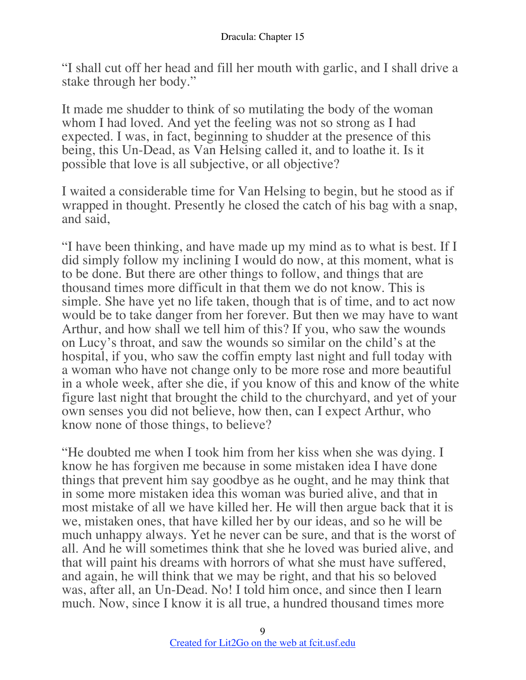"I shall cut off her head and fill her mouth with garlic, and I shall drive a stake through her body."

It made me shudder to think of so mutilating the body of the woman whom I had loved. And yet the feeling was not so strong as I had expected. I was, in fact, beginning to shudder at the presence of this being, this Un-Dead, as Van Helsing called it, and to loathe it. Is it possible that love is all subjective, or all objective?

I waited a considerable time for Van Helsing to begin, but he stood as if wrapped in thought. Presently he closed the catch of his bag with a snap, and said,

"I have been thinking, and have made up my mind as to what is best. If I did simply follow my inclining I would do now, at this moment, what is to be done. But there are other things to follow, and things that are thousand times more difficult in that them we do not know. This is simple. She have yet no life taken, though that is of time, and to act now would be to take danger from her forever. But then we may have to want Arthur, and how shall we tell him of this? If you, who saw the wounds on Lucy's throat, and saw the wounds so similar on the child's at the hospital, if you, who saw the coffin empty last night and full today with a woman who have not change only to be more rose and more beautiful in a whole week, after she die, if you know of this and know of the white figure last night that brought the child to the churchyard, and yet of your own senses you did not believe, how then, can I expect Arthur, who know none of those things, to believe?

"He doubted me when I took him from her kiss when she was dying. I know he has forgiven me because in some mistaken idea I have done things that prevent him say goodbye as he ought, and he may think that in some more mistaken idea this woman was buried alive, and that in most mistake of all we have killed her. He will then argue back that it is we, mistaken ones, that have killed her by our ideas, and so he will be much unhappy always. Yet he never can be sure, and that is the worst of all. And he will sometimes think that she he loved was buried alive, and that will paint his dreams with horrors of what she must have suffered, and again, he will think that we may be right, and that his so beloved was, after all, an Un-Dead. No! I told him once, and since then I learn much. Now, since I know it is all true, a hundred thousand times more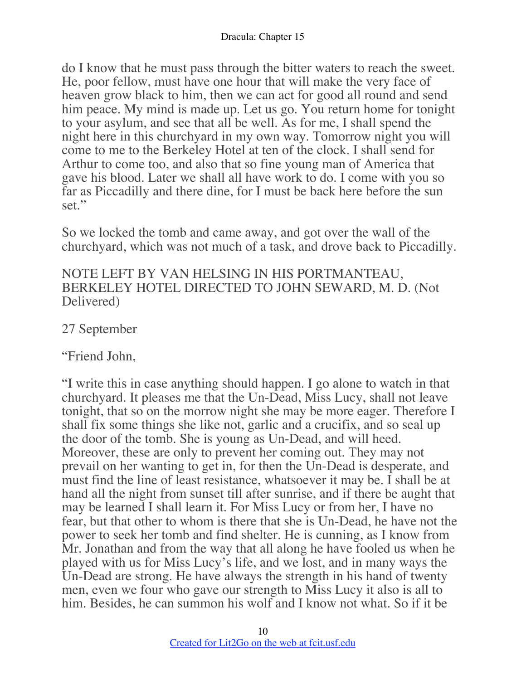do I know that he must pass through the bitter waters to reach the sweet. He, poor fellow, must have one hour that will make the very face of heaven grow black to him, then we can act for good all round and send him peace. My mind is made up. Let us go. You return home for tonight to your asylum, and see that all be well. As for me, I shall spend the night here in this churchyard in my own way. Tomorrow night you will come to me to the Berkeley Hotel at ten of the clock. I shall send for Arthur to come too, and also that so fine young man of America that gave his blood. Later we shall all have work to do. I come with you so far as Piccadilly and there dine, for I must be back here before the sun set."

So we locked the tomb and came away, and got over the wall of the churchyard, which was not much of a task, and drove back to Piccadilly.

#### NOTE LEFT BY VAN HELSING IN HIS PORTMANTEAU, BERKELEY HOTEL DIRECTED TO JOHN SEWARD, M. D. (Not Delivered)

### 27 September

"Friend John,

"I write this in case anything should happen. I go alone to watch in that churchyard. It pleases me that the Un-Dead, Miss Lucy, shall not leave tonight, that so on the morrow night she may be more eager. Therefore I shall fix some things she like not, garlic and a crucifix, and so seal up the door of the tomb. She is young as Un-Dead, and will heed. Moreover, these are only to prevent her coming out. They may not prevail on her wanting to get in, for then the Un-Dead is desperate, and must find the line of least resistance, whatsoever it may be. I shall be at hand all the night from sunset till after sunrise, and if there be aught that may be learned I shall learn it. For Miss Lucy or from her, I have no fear, but that other to whom is there that she is Un-Dead, he have not the power to seek her tomb and find shelter. He is cunning, as I know from Mr. Jonathan and from the way that all along he have fooled us when he played with us for Miss Lucy's life, and we lost, and in many ways the Un-Dead are strong. He have always the strength in his hand of twenty men, even we four who gave our strength to Miss Lucy it also is all to him. Besides, he can summon his wolf and I know not what. So if it be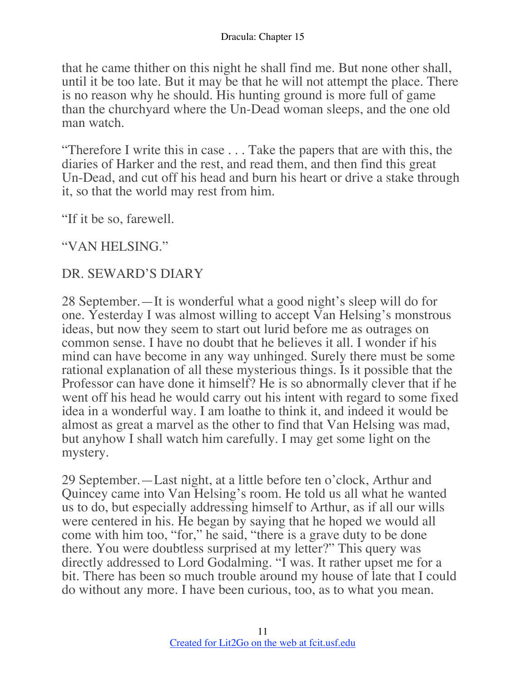that he came thither on this night he shall find me. But none other shall, until it be too late. But it may be that he will not attempt the place. There is no reason why he should. His hunting ground is more full of game than the churchyard where the Un-Dead woman sleeps, and the one old man watch.

"Therefore I write this in case . . . Take the papers that are with this, the diaries of Harker and the rest, and read them, and then find this great Un-Dead, and cut off his head and burn his heart or drive a stake through it, so that the world may rest from him.

"If it be so, farewell.

"VAN HELSING."

### DR. SEWARD'S DIARY

28 September.—It is wonderful what a good night's sleep will do for one. Yesterday I was almost willing to accept Van Helsing's monstrous ideas, but now they seem to start out lurid before me as outrages on common sense. I have no doubt that he believes it all. I wonder if his mind can have become in any way unhinged. Surely there must be some rational explanation of all these mysterious things. Is it possible that the Professor can have done it himself? He is so abnormally clever that if he went off his head he would carry out his intent with regard to some fixed idea in a wonderful way. I am loathe to think it, and indeed it would be almost as great a marvel as the other to find that Van Helsing was mad, but anyhow I shall watch him carefully. I may get some light on the mystery.

29 September.—Last night, at a little before ten o'clock, Arthur and Quincey came into Van Helsing's room. He told us all what he wanted us to do, but especially addressing himself to Arthur, as if all our wills were centered in his. He began by saying that he hoped we would all come with him too, "for," he said, "there is a grave duty to be done there. You were doubtless surprised at my letter?" This query was directly addressed to Lord Godalming. "I was. It rather upset me for a bit. There has been so much trouble around my house of late that I could do without any more. I have been curious, too, as to what you mean.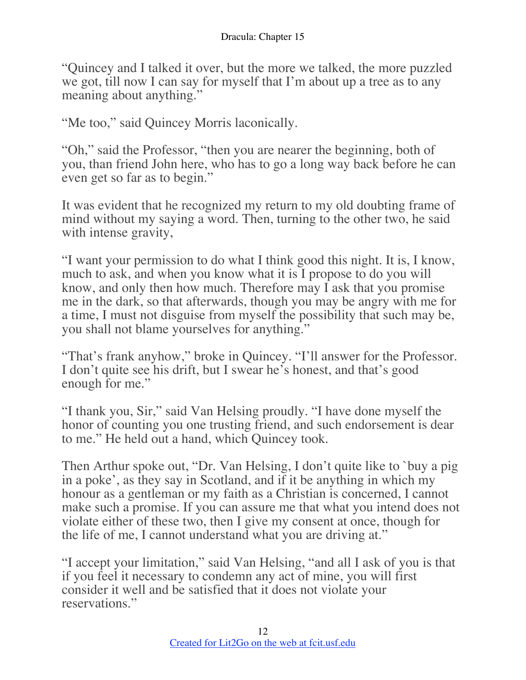"Quincey and I talked it over, but the more we talked, the more puzzled we got, till now I can say for myself that I'm about up a tree as to any meaning about anything."

"Me too," said Quincey Morris laconically.

"Oh," said the Professor, "then you are nearer the beginning, both of you, than friend John here, who has to go a long way back before he can even get so far as to begin."

It was evident that he recognized my return to my old doubting frame of mind without my saying a word. Then, turning to the other two, he said with intense gravity,

"I want your permission to do what I think good this night. It is, I know, much to ask, and when you know what it is I propose to do you will know, and only then how much. Therefore may I ask that you promise me in the dark, so that afterwards, though you may be angry with me for a time, I must not disguise from myself the possibility that such may be, you shall not blame yourselves for anything."

"That's frank anyhow," broke in Quincey. "I'll answer for the Professor. I don't quite see his drift, but I swear he's honest, and that's good enough for me."

"I thank you, Sir," said Van Helsing proudly. "I have done myself the honor of counting you one trusting friend, and such endorsement is dear to me." He held out a hand, which Quincey took.

Then Arthur spoke out, "Dr. Van Helsing, I don't quite like to `buy a pig in a poke', as they say in Scotland, and if it be anything in which my honour as a gentleman or my faith as a Christian is concerned, I cannot make such a promise. If you can assure me that what you intend does not violate either of these two, then I give my consent at once, though for the life of me, I cannot understand what you are driving at."

"I accept your limitation," said Van Helsing, "and all I ask of you is that if you feel it necessary to condemn any act of mine, you will first consider it well and be satisfied that it does not violate your reservations."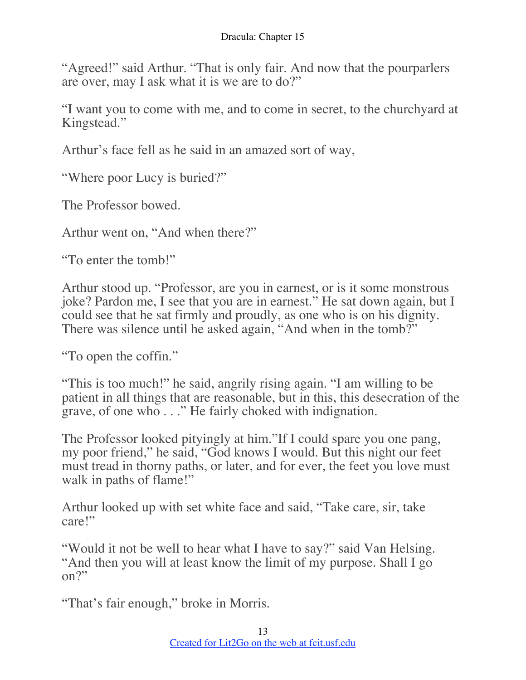"Agreed!" said Arthur. "That is only fair. And now that the pourparlers are over, may I ask what it is we are to do?"

"I want you to come with me, and to come in secret, to the churchyard at Kingstead."

Arthur's face fell as he said in an amazed sort of way,

"Where poor Lucy is buried?"

The Professor bowed.

Arthur went on, "And when there?"

"To enter the tomb!"

Arthur stood up. "Professor, are you in earnest, or is it some monstrous joke? Pardon me, I see that you are in earnest." He sat down again, but I could see that he sat firmly and proudly, as one who is on his dignity. There was silence until he asked again, "And when in the tomb?"

"To open the coffin."

"This is too much!" he said, angrily rising again. "I am willing to be patient in all things that are reasonable, but in this, this desecration of the grave, of one who . . ." He fairly choked with indignation.

The Professor looked pityingly at him."If I could spare you one pang, my poor friend," he said, "God knows I would. But this night our feet must tread in thorny paths, or later, and for ever, the feet you love must walk in paths of flame!"

Arthur looked up with set white face and said, "Take care, sir, take care!"

"Would it not be well to hear what I have to say?" said Van Helsing. "And then you will at least know the limit of my purpose. Shall I go  $\Omega^{2}$ 

"That's fair enough," broke in Morris.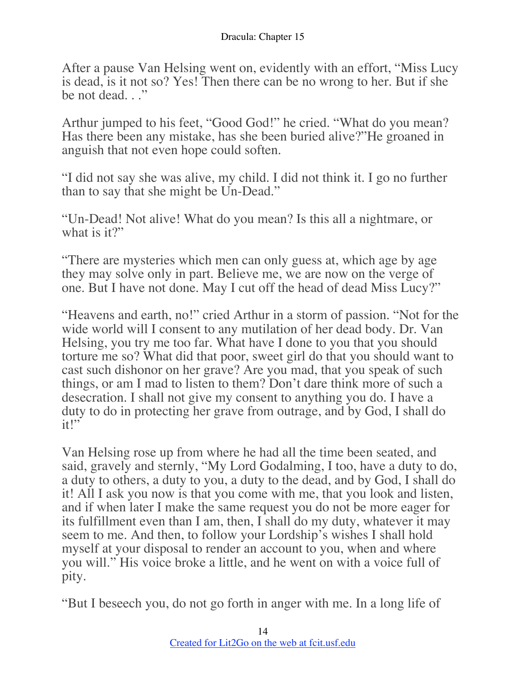After a pause Van Helsing went on, evidently with an effort, "Miss Lucy is dead, is it not so? Yes! Then there can be no wrong to her. But if she be not dead..."

Arthur jumped to his feet, "Good God!" he cried. "What do you mean? Has there been any mistake, has she been buried alive?"He groaned in anguish that not even hope could soften.

"I did not say she was alive, my child. I did not think it. I go no further than to say that she might be Un-Dead."

"Un-Dead! Not alive! What do you mean? Is this all a nightmare, or what is it?"

"There are mysteries which men can only guess at, which age by age they may solve only in part. Believe me, we are now on the verge of one. But I have not done. May I cut off the head of dead Miss Lucy?"

"Heavens and earth, no!" cried Arthur in a storm of passion. "Not for the wide world will I consent to any mutilation of her dead body. Dr. Van Helsing, you try me too far. What have I done to you that you should torture me so? What did that poor, sweet girl do that you should want to cast such dishonor on her grave? Are you mad, that you speak of such things, or am I mad to listen to them? Don't dare think more of such a desecration. I shall not give my consent to anything you do. I have a duty to do in protecting her grave from outrage, and by God, I shall do it!"

Van Helsing rose up from where he had all the time been seated, and said, gravely and sternly, "My Lord Godalming, I too, have a duty to do, a duty to others, a duty to you, a duty to the dead, and by God, I shall do it! All I ask you now is that you come with me, that you look and listen, and if when later I make the same request you do not be more eager for its fulfillment even than I am, then, I shall do my duty, whatever it may seem to me. And then, to follow your Lordship's wishes I shall hold myself at your disposal to render an account to you, when and where you will." His voice broke a little, and he went on with a voice full of pity.

"But I beseech you, do not go forth in anger with me. In a long life of